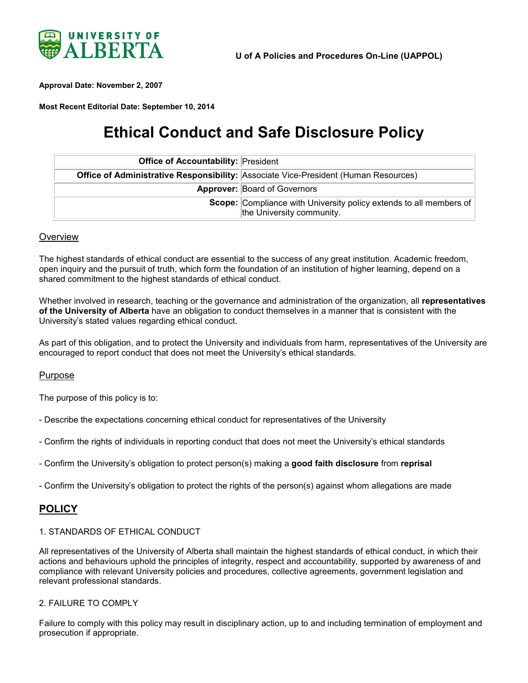

<span id="page-0-0"></span>**Approval Date: November 2, 2007**

**Most Recent Editorial Date: September 10, 2014**

# **Ethical Conduct and Safe Disclosure Policy**

| <b>Office of Accountability: President</b> |                                                                                                 |
|--------------------------------------------|-------------------------------------------------------------------------------------------------|
|                                            | Office of Administrative Responsibility: Associate Vice-President (Human Resources)             |
|                                            | <b>Approver: Board of Governors</b>                                                             |
|                                            | Scope: Compliance with University policy extends to all members of<br>the University community. |

#### **Overview**

The highest standards of ethical conduct are essential to the success of any great institution. Academic freedom, open inquiry and the pursuit of truth, which form the foundation of an institution of higher learning, depend on a shared commitment to the highest standards of ethical conduct.

Whether involved in research, teaching or the governance and administration of the organization, all **representatives of the University of Alberta** have an obligation to conduct themselves in a manner that is consistent with the University's stated values regarding ethical conduct.

As part of this obligation, and to protect the University and individuals from harm, representatives of the University are encouraged to report conduct that does not meet the University's ethical standards.

#### Purpose

The purpose of this policy is to:

- Describe the expectations concerning ethical conduct for representatives of the University

- Confirm the rights of individuals in reporting conduct that does not meet the University's ethical standards

- Confirm the University's obligation to protect person(s) making a **good faith disclosure** from **reprisal**
- Confirm the University's obligation to protect the rights of the person(s) against whom allegations are made

## **POLICY**

#### 1. STANDARDS OF ETHICAL CONDUCT

All representatives of the University of Alberta shall maintain the highest standards of ethical conduct, in which their actions and behaviours uphold the principles of integrity, respect and accountability, supported by awareness of and compliance with relevant University policies and procedures, collective agreements, government legislation and relevant professional standards.

#### 2. FAILURE TO COMPLY

Failure to comply with this policy may result in disciplinary action, up to and including termination of employment and prosecution if appropriate.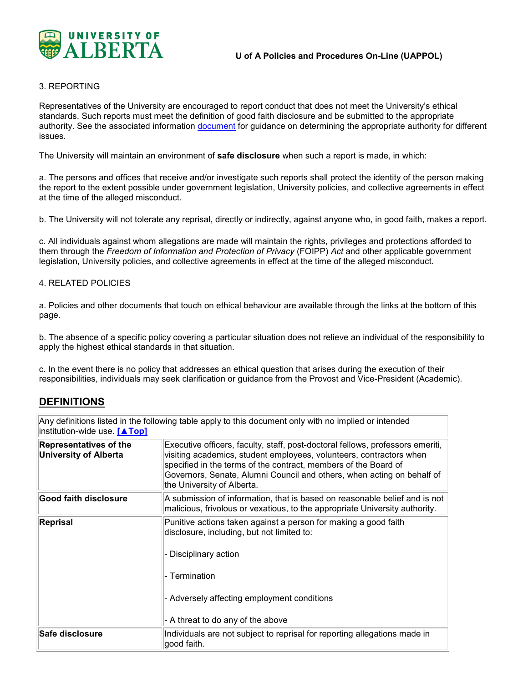

#### 3. REPORTING

Representatives of the University are encouraged to report conduct that does not meet the University's ethical standards. Such reports must meet the definition of good faith disclosure and be submitted to the appropriate authority. See the associated information [document](https://policiesonline.ualberta.ca/PoliciesProcedures/InfoDocs/@humanresources/documents/infodoc/ECSD_Links_to_Policies_March_2014.pdf) for guidance on determining the appropriate authority for different issues.

The University will maintain an environment of **safe disclosure** when such a report is made, in which:

a. The persons and offices that receive and/or investigate such reports shall protect the identity of the person making the report to the extent possible under government legislation, University policies, and collective agreements in effect at the time of the alleged misconduct.

b. The University will not tolerate any reprisal, directly or indirectly, against anyone who, in good faith, makes a report.

c. All individuals against whom allegations are made will maintain the rights, privileges and protections afforded to them through the *Freedom of Information and Protection of Privacy* (FOIPP) *Act* and other applicable government legislation, University policies, and collective agreements in effect at the time of the alleged misconduct.

#### 4. RELATED POLICIES

a. Policies and other documents that touch on ethical behaviour are available through the links at the bottom of this page.

b. The absence of a specific policy covering a particular situation does not relieve an individual of the responsibility to apply the highest ethical standards in that situation.

c. In the event there is no policy that addresses an ethical question that arises during the execution of their responsibilities, individuals may seek clarification or guidance from the Provost and Vice-President (Academic).

## **DEFINITIONS**

| institution-wide use. [▲Top]                                  | Any definitions listed in the following table apply to this document only with no implied or intended                                                                                                                                                                                                                            |
|---------------------------------------------------------------|----------------------------------------------------------------------------------------------------------------------------------------------------------------------------------------------------------------------------------------------------------------------------------------------------------------------------------|
| <b>Representatives of the</b><br><b>University of Alberta</b> | Executive officers, faculty, staff, post-doctoral fellows, professors emeriti,<br>visiting academics, student employees, volunteers, contractors when<br>specified in the terms of the contract, members of the Board of<br>Governors, Senate, Alumni Council and others, when acting on behalf of<br>the University of Alberta. |
| Good faith disclosure                                         | A submission of information, that is based on reasonable belief and is not<br>malicious, frivolous or vexatious, to the appropriate University authority.                                                                                                                                                                        |
| Reprisal                                                      | Punitive actions taken against a person for making a good faith<br>disclosure, including, but not limited to:<br>- Disciplinary action<br>- Termination<br>- Adversely affecting employment conditions<br>- A threat to do any of the above                                                                                      |
| Safe disclosure                                               | Individuals are not subject to reprisal for reporting allegations made in<br>good faith.                                                                                                                                                                                                                                         |